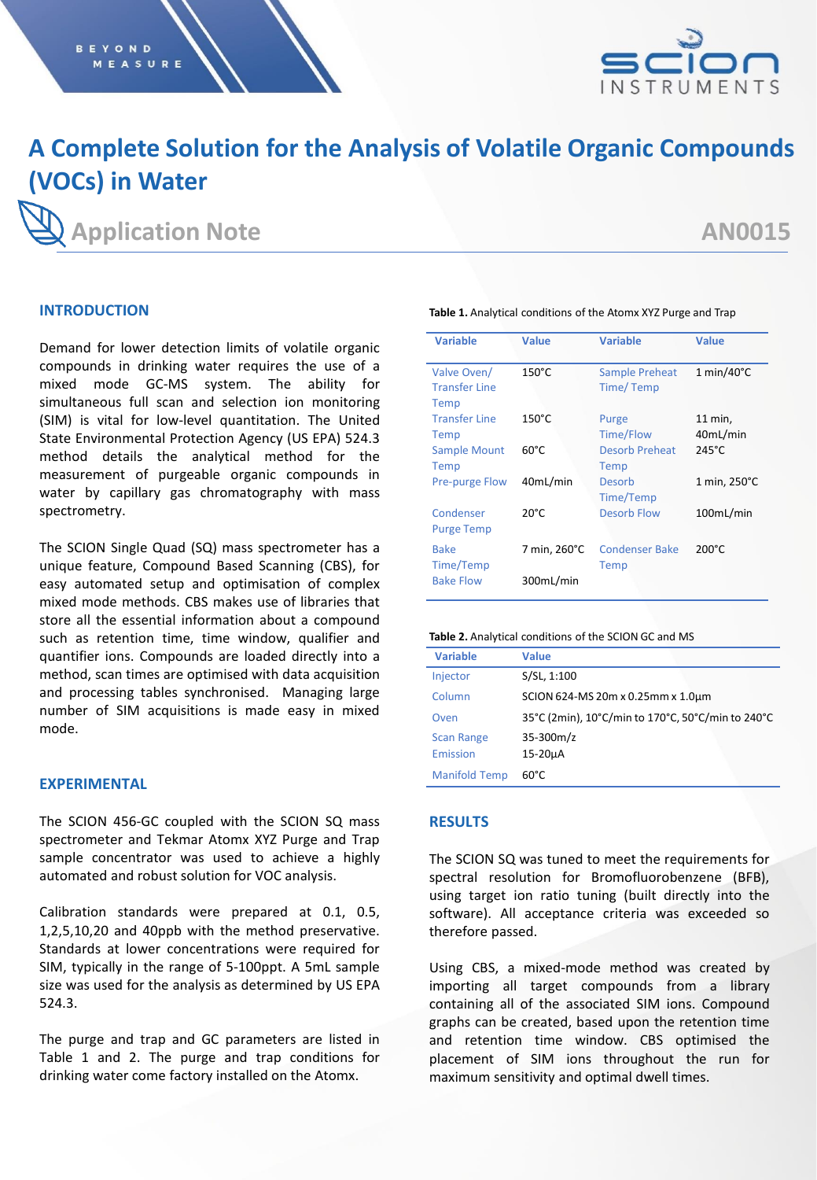

# **A Complete Solution for the Analysis of Volatile Organic Compounds (VOCs) in Water**

# **Application Note AN0015**

# **INTRODUCTION**

Demand for lower detection limits of volatile organic compounds in drinking water requires the use of a mixed mode GC-MS system. The ability for simultaneous full scan and selection ion monitoring (SIM) is vital for low-level quantitation. The United State Environmental Protection Agency (US EPA) 524.3 method details the analytical method for the measurement of purgeable organic compounds in water by capillary gas chromatography with mass spectrometry.

The SCION Single Quad (SQ) mass spectrometer has a unique feature, Compound Based Scanning (CBS), for easy automated setup and optimisation of complex mixed mode methods. CBS makes use of libraries that store all the essential information about a compound such as retention time, time window, qualifier and quantifier ions. Compounds are loaded directly into a method, scan times are optimised with data acquisition and processing tables synchronised. Managing large number of SIM acquisitions is made easy in mixed mode.

# **EXPERIMENTAL**

The SCION 456-GC coupled with the SCION SQ mass spectrometer and Tekmar Atomx XYZ Purge and Trap sample concentrator was used to achieve a highly automated and robust solution for VOC analysis.

Calibration standards were prepared at 0.1, 0.5, 1,2,5,10,20 and 40ppb with the method preservative. Standards at lower concentrations were required for SIM, typically in the range of 5-100ppt. A 5mL sample size was used for the analysis as determined by US EPA 524.3.

The purge and trap and GC parameters are listed in Table 1 and 2. The purge and trap conditions for drinking water come factory installed on the Atomx.

| <b>Variable</b>                             | Value           | <b>Variable</b>               | <b>Value</b>        |
|---------------------------------------------|-----------------|-------------------------------|---------------------|
| Valve Oven/<br><b>Transfer Line</b><br>Temp | $150^{\circ}$ C | Sample Preheat<br>Time/Temp   | $1 min/40^{\circ}C$ |
| <b>Transfer Line</b><br>Temp                | $150^{\circ}$ C | Purge<br>Time/Flow            | 11 min,<br>40mL/min |
| <b>Sample Mount</b><br>Temp                 | $60^{\circ}$ C  | <b>Desorb Preheat</b><br>Temp | $245^{\circ}$ C     |
| <b>Pre-purge Flow</b>                       | 40mL/min        | Desorb<br>Time/Temp           | 1 min, 250°C        |
| Condenser<br><b>Purge Temp</b>              | $20^{\circ}$ C  | Desorb Flow                   | 100mL/min           |
| <b>Bake</b><br>Time/Temp                    | 7 min, 260°C    | <b>Condenser Bake</b><br>Temp | $200^{\circ}$ C     |
| <b>Bake Flow</b>                            | 300mL/min       |                               |                     |

**Table 1.** Analytical conditions of the Atomx XYZ Purge and Trap

#### **Table 2.** Analytical conditions of the SCION GC and MS

| <b>Variable</b>      | Value                                             |
|----------------------|---------------------------------------------------|
| Injector             | S/SL, 1:100                                       |
| Column               | SCION 624-MS 20m x 0.25mm x 1.0um                 |
| Oven                 | 35°C (2min), 10°C/min to 170°C, 50°C/min to 240°C |
| <b>Scan Range</b>    | $35 - 300m/z$                                     |
| Emission             | 15-20µA                                           |
| <b>Manifold Temp</b> | $60^{\circ}$ C                                    |

### **RESULTS**

The SCION SQ was tuned to meet the requirements for spectral resolution for Bromofluorobenzene (BFB), using target ion ratio tuning (built directly into the software). All acceptance criteria was exceeded so therefore passed.

Using CBS, a mixed-mode method was created by importing all target compounds from a library containing all of the associated SIM ions. Compound graphs can be created, based upon the retention time and retention time window. CBS optimised the placement of SIM ions throughout the run for maximum sensitivity and optimal dwell times.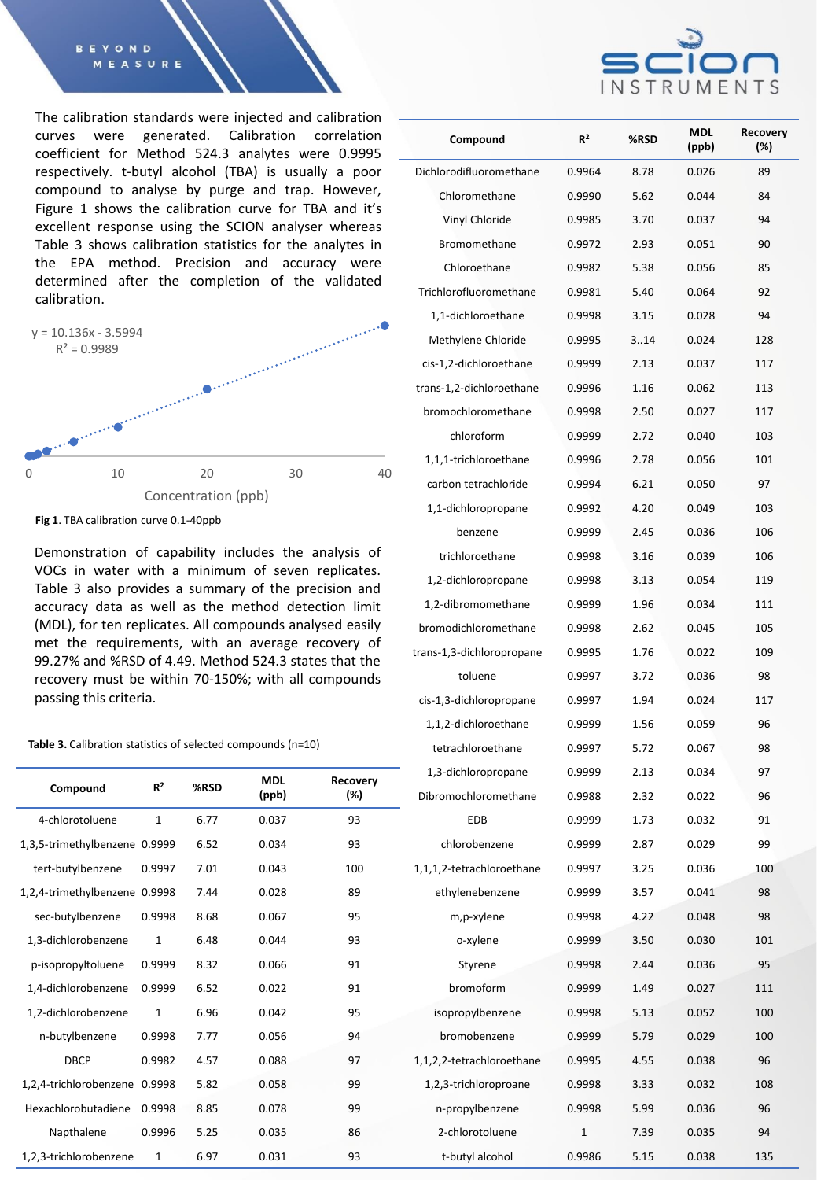#### **BEYOND** MEASURE

The calibration standards were injected and calibration curves were generated. Calibration correlation coefficient for Method 524.3 analytes were 0.9995 respectively. t-butyl alcohol (TBA) is usually a poor compound to analyse by purge and trap. However, Figure 1 shows the calibration curve for TBA and it's excellent response using the SCION analyser whereas Table 3 shows calibration statistics for the analytes in the EPA method. Precision and accuracy were determined after the completion of the validated calibration.



**Fig 1**. TBA calibration curve 0.1-40ppb

Demonstration of capability includes the analysis of VOCs in water with a minimum of seven replicates. Table 3 also provides a summary of the precision and accuracy data as well as the method detection limit (MDL), for ten replicates. All compounds analysed easily met the requirements, with an average recovery of 99.27% and %RSD of 4.49. Method 524.3 states that the recovery must be within 70-150%; with all compounds passing this criteria.

#### Table 3. Calibration statistics of selected compounds (n=10)

| Compound                      | R <sup>2</sup> | %RSD | <b>MDL</b><br>(ppb) | <b>Recovery</b><br>(%) |              |
|-------------------------------|----------------|------|---------------------|------------------------|--------------|
| 4-chlorotoluene               | $\mathbf{1}$   | 6.77 | 0.037               | 93                     |              |
| 1,3,5-trimethylbenzene 0.9999 |                | 6.52 | 0.034               | 93                     |              |
| tert-butylbenzene             | 0.9997         | 7.01 | 0.043               | 100                    | $\mathbf{1}$ |
| 1,2,4-trimethylbenzene 0.9998 |                | 7.44 | 0.028               | 89                     |              |
| sec-butylbenzene              | 0.9998         | 8.68 | 0.067               | 95                     |              |
| 1,3-dichlorobenzene           | $\mathbf{1}$   | 6.48 | 0.044               | 93                     |              |
| p-isopropyltoluene            | 0.9999         | 8.32 | 0.066               | 91                     |              |
| 1,4-dichlorobenzene           | 0.9999         | 6.52 | 0.022               | 91                     |              |
| 1,2-dichlorobenzene           | $\mathbf{1}$   | 6.96 | 0.042               | 95                     |              |
| n-butylbenzene                | 0.9998         | 7.77 | 0.056               | 94                     |              |
| <b>DBCP</b>                   | 0.9982         | 4.57 | 0.088               | 97                     | $\mathbf{1}$ |
| 1,2,4-trichlorobenzene        | 0.9998         | 5.82 | 0.058               | 99                     |              |
| Hexachlorobutadiene           | 0.9998         | 8.85 | 0.078               | 99                     |              |
| Napthalene                    | 0.9996         | 5.25 | 0.035               | 86                     |              |
| 1,2,3-trichlorobenzene        | 1              | 6.97 | 0.031               | 93                     |              |



| Compound                  | $R^2$        | %RSD | <b>MDL</b><br>(ppb) | Recovery<br>(%) |
|---------------------------|--------------|------|---------------------|-----------------|
| Dichlorodifluoromethane   | 0.9964       | 8.78 | 0.026               | 89              |
| Chloromethane             | 0.9990       | 5.62 | 0.044               | 84              |
| Vinyl Chloride            | 0.9985       | 3.70 | 0.037               | 94              |
| Bromomethane              | 0.9972       | 2.93 | 0.051               | 90              |
| Chloroethane              | 0.9982       | 5.38 | 0.056               | 85              |
| Trichlorofluoromethane    | 0.9981       | 5.40 | 0.064               | 92              |
| 1,1-dichloroethane        | 0.9998       | 3.15 | 0.028               | 94              |
| Methylene Chloride        | 0.9995       | 3.14 | 0.024               | 128             |
| cis-1,2-dichloroethane    | 0.9999       | 2.13 | 0.037               | 117             |
| trans-1,2-dichloroethane  | 0.9996       | 1.16 | 0.062               | 113             |
| bromochloromethane        | 0.9998       | 2.50 | 0.027               | 117             |
| chloroform                | 0.9999       | 2.72 | 0.040               | 103             |
| 1,1,1-trichloroethane     | 0.9996       | 2.78 | 0.056               | 101             |
| carbon tetrachloride      | 0.9994       | 6.21 | 0.050               | 97              |
| 1,1-dichloropropane       | 0.9992       | 4.20 | 0.049               | 103             |
| benzene                   | 0.9999       | 2.45 | 0.036               | 106             |
| trichloroethane           | 0.9998       | 3.16 | 0.039               | 106             |
| 1,2-dichloropropane       | 0.9998       | 3.13 | 0.054               | 119             |
| 1,2-dibromomethane        | 0.9999       | 1.96 | 0.034               | 111             |
| bromodichloromethane      | 0.9998       | 2.62 | 0.045               | 105             |
| trans-1,3-dichloropropane | 0.9995       | 1.76 | 0.022               | 109             |
| toluene                   | 0.9997       | 3.72 | 0.036               | 98              |
| cis-1,3-dichloropropane   | 0.9997       | 1.94 | 0.024               | 117             |
| 1,1,2-dichloroethane      | 0.9999       | 1.56 | 0.059               | 96              |
| tetrachloroethane         | 0.9997       | 5.72 | 0.067               | 98              |
| 1,3-dichloropropane       | 0.9999       | 2.13 | 0.034               | 97              |
| Dibromochloromethane      | 0.9988       | 2.32 | 0.022               | 96              |
| EDB                       | 0.9999       | 1.73 | 0.032               | 91              |
| chlorobenzene             | 0.9999       | 2.87 | 0.029               | 99              |
| 1.1.1.2-tetrachloroethane | 0.9997       | 3.25 | 0.036               | 100             |
| ethylenebenzene           | 0.9999       | 3.57 | 0.041               | 98              |
| m,p-xylene                | 0.9998       | 4.22 | 0.048               | 98              |
| o-xylene                  | 0.9999       | 3.50 | 0.030               | 101             |
| Styrene                   | 0.9998       | 2.44 | 0.036               | 95              |
| bromoform                 | 0.9999       | 1.49 | 0.027               | 111             |
| isopropylbenzene          | 0.9998       | 5.13 | 0.052               | 100             |
| bromobenzene              | 0.9999       | 5.79 | 0.029               | 100             |
| 1,1,2,2-tetrachloroethane | 0.9995       | 4.55 | 0.038               | 96              |
| 1,2,3-trichloroproane     | 0.9998       | 3.33 | 0.032               | 108             |
| n-propylbenzene           | 0.9998       | 5.99 | 0.036               | 96              |
| 2-chlorotoluene           | $\mathbf{1}$ | 7.39 | 0.035               | 94              |
| t-butyl alcohol           | 0.9986       | 5.15 | 0.038               | 135             |